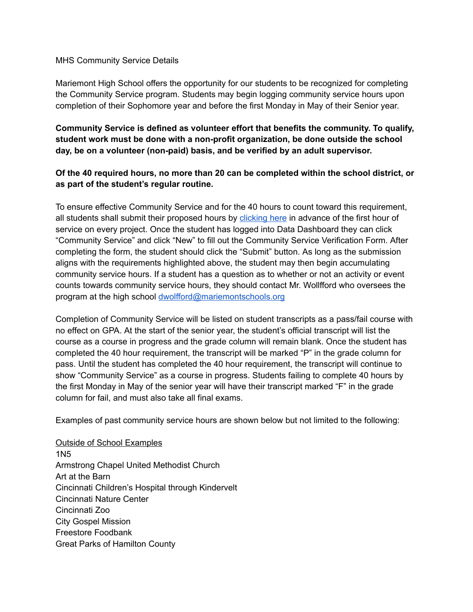## MHS Community Service Details

Mariemont High School offers the opportunity for our students to be recognized for completing the Community Service program. Students may begin logging community service hours upon completion of their Sophomore year and before the first Monday in May of their Senior year.

**Community Service is defined as volunteer effort that benefits the community. To qualify, student work must be done with a non-profit organization, be done outside the school day, be on a volunteer (non-paid) basis, and be verified by an adult supervisor.**

## **Of the 40 required hours, no more than 20 can be completed within the school district, or as part of the student's regular routine.**

To ensure effective Community Service and for the 40 hours to count toward this requirement, all students shall submit their proposed hours by [clicking](https://dashboard.mariemontschools.org/) here in advance of the first hour of service on every project. Once the student has logged into Data Dashboard they can click "Community Service" and click "New" to fill out the Community Service Verification Form. After completing the form, the student should click the "Submit" button. As long as the submission aligns with the requirements highlighted above, the student may then begin accumulating community service hours. If a student has a question as to whether or not an activity or event counts towards community service hours, they should contact Mr. Wollfford who oversees the program at the high school [dwolfford@mariemontschools.org](mailto:dwolfford@mariemontschools.org)

Completion of Community Service will be listed on student transcripts as a pass/fail course with no effect on GPA. At the start of the senior year, the student's official transcript will list the course as a course in progress and the grade column will remain blank. Once the student has completed the 40 hour requirement, the transcript will be marked "P" in the grade column for pass. Until the student has completed the 40 hour requirement, the transcript will continue to show "Community Service" as a course in progress. Students failing to complete 40 hours by the first Monday in May of the senior year will have their transcript marked "F" in the grade column for fail, and must also take all final exams.

Examples of past community service hours are shown below but not limited to the following:

Outside of School Examples 1N5 Armstrong Chapel United Methodist Church Art at the Barn Cincinnati Children's Hospital through Kindervelt Cincinnati Nature Center Cincinnati Zoo City Gospel Mission Freestore Foodbank Great Parks of Hamilton County